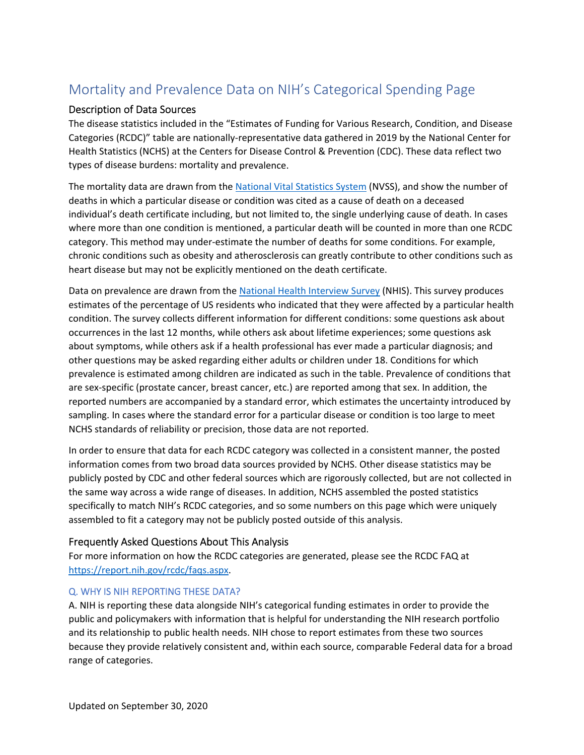# Mortality and Prevalence Data on NIH's Categorical Spending Page

## Description of Data Sources

The disease statistics included in the "Estimates of Funding for Various Research, Condition, and Disease Categories (RCDC)" table are nationally‐representative data gathered in 2019 by the National Center for Health Statistics (NCHS) at the Centers for Disease Control & Prevention (CDC). These data reflect two types of disease burdens: mortality and prevalence.

The mortality data are drawn from the National Vital Statistics System (NVSS), and show the number of deaths in which a particular disease or condition was cited as a cause of death on a deceased individual's death certificate including, but not limited to, the single underlying cause of death. In cases where more than one condition is mentioned, a particular death will be counted in more than one RCDC category. This method may under‐estimate the number of deaths for some conditions. For example, chronic conditions such as obesity and atherosclerosis can greatly contribute to other conditions such as heart disease but may not be explicitly mentioned on the death certificate.

Data on prevalence are drawn from the National Health Interview Survey (NHIS). This survey produces estimates of the percentage of US residents who indicated that they were affected by a particular health condition. The survey collects different information for different conditions: some questions ask about occurrences in the last 12 months, while others ask about lifetime experiences; some questions ask about symptoms, while others ask if a health professional has ever made a particular diagnosis; and other questions may be asked regarding either adults or children under 18. Conditions for which prevalence is estimated among children are indicated as such in the table. Prevalence of conditions that are sex-specific (prostate cancer, breast cancer, etc.) are reported among that sex. In addition, the reported numbers are accompanied by a standard error, which estimates the uncertainty introduced by sampling. In cases where the standard error for a particular disease or condition is too large to meet NCHS standards of reliability or precision, those data are not reported.

In order to ensure that data for each RCDC category was collected in a consistent manner, the posted information comes from two broad data sources provided by NCHS. Other disease statistics may be publicly posted by CDC and other federal sources which are rigorously collected, but are not collected in the same way across a wide range of diseases. In addition, NCHS assembled the posted statistics specifically to match NIH's RCDC categories, and so some numbers on this page which were uniquely assembled to fit a category may not be publicly posted outside of this analysis.

# Frequently Asked Questions About This Analysis

For more information on how the RCDC categories are generated, please see the RCDC FAQ at https://report.nih.gov/rcdc/faqs.aspx.

## Q. WHY IS NIH REPORTING THESE DATA?

A. NIH is reporting these data alongside NIH's categorical funding estimates in order to provide the public and policymakers with information that is helpful for understanding the NIH research portfolio and its relationship to public health needs. NIH chose to report estimates from these two sources because they provide relatively consistent and, within each source, comparable Federal data for a broad range of categories.